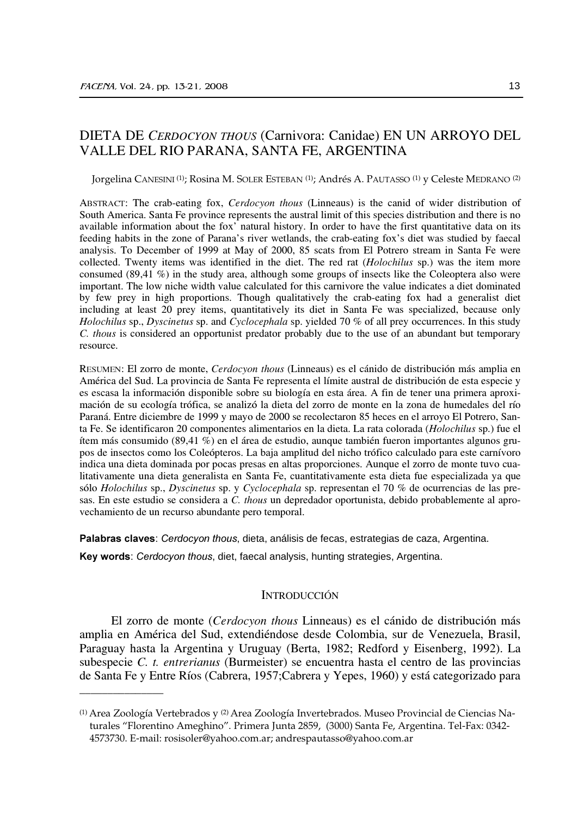# DIETA DE CERDOCYON THOUS (Carnivora: Canidae) EN UN ARROYO DEL VALLE DEL RIO PARANA, SANTA FE, ARGENTINA

Jorgelina CANESINI<sup>(1)</sup>; Rosina M. SOLER ESTEBAN<sup>(1)</sup>; Andrés A. PAUTASSO<sup>(1)</sup> y Celeste MEDRANO<sup>(2)</sup>

ABSTRACT: The crab-eating fox, *Cerdocyon thous* (Linneaus) is the canid of wider distribution of South America. Santa Fe province represents the austral limit of this species distribution and there is no available information about the fox' natural history. In order to have the first quantitative data on its feeding habits in the zone of Parana's river wetlands, the crab-eating fox's diet was studied by faecal analysis. To December of 1999 at May of 2000, 85 scats from El Potrero stream in Santa Fe were collected. Twenty items was identified in the diet. The red rat (Holochilus sp.) was the item more consumed (89,41 %) in the study area, although some groups of insects like the Coleoptera also were important. The low niche width value calculated for this carnivore the value indicates a diet dominated by few prey in high proportions. Though qualitatively the crab-eating fox had a generalist diet including at least 20 prey items, quantitatively its diet in Santa Fe was specialized, because only Holochilus sp., Dyscinetus sp. and Cyclocephala sp. yielded 70 % of all prey occurrences. In this study C. thous is considered an opportunist predator probably due to the use of an abundant but temporary resource.

RESUMEN: El zorro de monte, Cerdocyon thous (Linneaus) es el cánido de distribución más amplia en América del Sud. La provincia de Santa Fe representa el límite austral de distribución de esta especie y es escasa la información disponible sobre su biología en esta área. A fin de tener una primera aproximación de su ecología trófica, se analizó la dieta del zorro de monte en la zona de humedales del río Paraná. Entre diciembre de 1999 y mayo de 2000 se recolectaron 85 heces en el arroyo El Potrero, Santa Fe. Se identificaron 20 componentes alimentarios en la dieta. La rata colorada (Holochilus sp.) fue el ítem más consumido (89,41 %) en el área de estudio, aunque también fueron importantes algunos grupos de insectos como los Coleópteros. La baja amplitud del nicho trófico calculado para este carnívoro indica una dieta dominada por pocas presas en altas proporciones. Aunque el zorro de monte tuvo cualitativamente una dieta generalista en Santa Fe, cuantitativamente esta dieta fue especializada ya que sólo Holochilus sp., Dyscinetus sp. y Cyclocephala sp. representan el 70 % de ocurrencias de las presas. En este estudio se considera a C. thous un depredador oportunista, debido probablemente al aprovechamiento de un recurso abundante pero temporal.

Palabras claves: Cerdocyon thous, dieta, análisis de fecas, estrategias de caza, Argentina.

Key words: Cerdocyon thous, diet, faecal analysis, hunting strategies, Argentina.

# **INTRODUCCIÓN**

El zorro de monte (Cerdocyon thous Linneaus) es el cánido de distribución más amplia en América del Sud, extendiéndose desde Colombia, sur de Venezuela, Brasil, Paraguay hasta la Argentina y Uruguay (Berta, 1982; Redford y Eisenberg, 1992). La subespecie C. t. entrerianus (Burmeister) se encuentra hasta el centro de las provincias de Santa Fe y Entre Ríos (Cabrera, 1957; Cabrera y Yepes, 1960) y está categorizado para

<sup>&</sup>lt;sup>(1)</sup> Area Zoología Vertebrados y <sup>(2)</sup> Area Zoología Invertebrados. Museo Provincial de Ciencias Naturales "Florentino Ameghino". Primera Junta 2859, (3000) Santa Fe, Argentina. Tel-Fax: 0342-4573730. E-mail: rosisoler@yahoo.com.ar; andrespautasso@yahoo.com.ar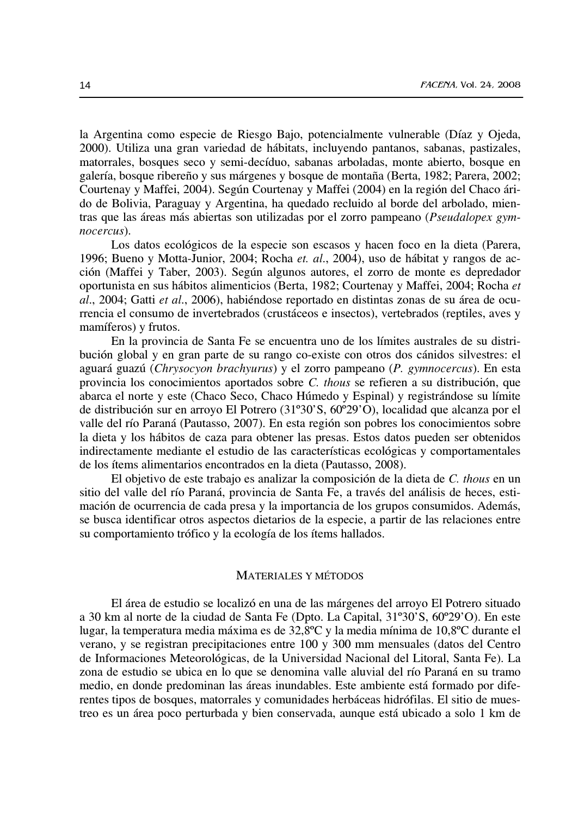la Argentina como especie de Riesgo Bajo, potencialmente vulnerable (Díaz y Ojeda, 2000). Utiliza una gran variedad de hábitats, incluyendo pantanos, sabanas, pastizales, matorrales, bosques seco y semi-decíduo, sabanas arboladas, monte abierto, bosque en galería, bosque ribereño y sus márgenes y bosque de montaña (Berta, 1982; Parera, 2002; Courtenay y Maffei, 2004). Según Courtenay y Maffei (2004) en la región del Chaco árido de Bolivia, Paraguay y Argentina, ha quedado recluido al borde del arbolado, mientras que las áreas más abiertas son utilizadas por el zorro pampeano (Pseudalopex gymnocercus).

Los datos ecológicos de la especie son escasos y hacen foco en la dieta (Parera, 1996; Bueno y Motta-Junior, 2004; Rocha et. al., 2004), uso de hábitat y rangos de acción (Maffei y Taber, 2003). Según algunos autores, el zorro de monte es depredador oportunista en sus hábitos alimenticios (Berta, 1982; Courtenay y Maffei, 2004; Rocha et al., 2004; Gatti et al., 2006), habiéndose reportado en distintas zonas de su área de ocurrencia el consumo de invertebrados (crustáceos e insectos), vertebrados (reptiles, aves y mamíferos) y frutos.

En la provincia de Santa Fe se encuentra uno de los límites australes de su distribución global y en gran parte de su rango co-existe con otros dos cánidos silvestres: el aguará guazú (Chrysocyon brachyurus) y el zorro pampeano (P. gymnocercus). En esta provincia los conocimientos aportados sobre C. thous se refieren a su distribución, que abarca el norte y este (Chaco Seco, Chaco Húmedo y Espinal) y registrándose su límite de distribución sur en arroyo El Potrero (31°30'S, 60°29'O), localidad que alcanza por el valle del río Paraná (Pautasso, 2007). En esta región son pobres los conocimientos sobre la dieta y los hábitos de caza para obtener las presas. Estos datos pueden ser obtenidos indirectamente mediante el estudio de las características ecológicas y comportamentales de los ítems alimentarios encontrados en la dieta (Pautasso, 2008).

El objetivo de este trabajo es analizar la composición de la dieta de C. thous en un sitio del valle del río Paraná, provincia de Santa Fe, a través del análisis de heces, estimación de ocurrencia de cada presa y la importancia de los grupos consumidos. Además, se busca identificar otros aspectos dietarios de la especie, a partir de las relaciones entre su comportamiento trófico y la ecología de los ítems hallados.

## **MATERIALES Y MÉTODOS**

El área de estudio se localizó en una de las márgenes del arroyo El Potrero situado a 30 km al norte de la ciudad de Santa Fe (Dpto. La Capital, 31°30'S, 60°29'O). En este lugar, la temperatura media máxima es de 32,8°C y la media mínima de 10,8°C durante el verano, y se registran precipitaciones entre 100 y 300 mm mensuales (datos del Centro de Informaciones Meteorológicas, de la Universidad Nacional del Litoral, Santa Fe). La zona de estudio se ubica en lo que se denomina valle aluvial del río Paraná en su tramo medio, en donde predominan las áreas inundables. Este ambiente está formado por diferentes tipos de bosques, matorrales y comunidades herbáceas hidrófilas. El sitio de muestreo es un área poco perturbada y bien conservada, aunque está ubicado a solo 1 km de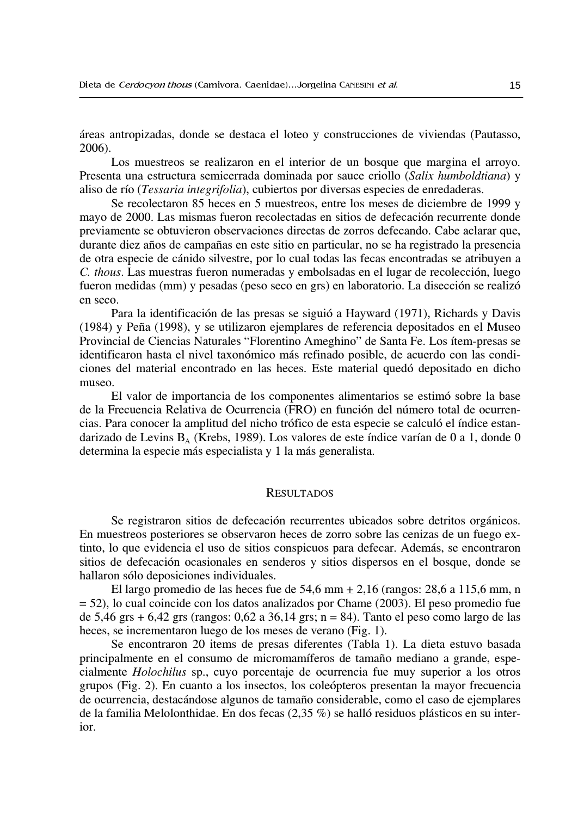áreas antropizadas, donde se destaca el loteo y construcciones de viviendas (Pautasso,  $2006$ ).

Los muestreos se realizaron en el interior de un bosque que margina el arroyo. Presenta una estructura semicerrada dominada por sauce criollo (Salix humboldtiana) y aliso de río (Tessaria integrifolia), cubiertos por diversas especies de enredaderas.

Se recolectaron 85 heces en 5 muestreos, entre los meses de diciembre de 1999 y mayo de 2000. Las mismas fueron recolectadas en sitios de defecación recurrente donde previamente se obtuvieron observaciones directas de zorros defecando. Cabe aclarar que, durante diez años de campañas en este sitio en particular, no se ha registrado la presencia de otra especie de cánido silvestre, por lo cual todas las fecas encontradas se atribuyen a C. thous. Las muestras fueron numeradas y embolsadas en el lugar de recolección, luego fueron medidas (mm) y pesadas (peso seco en grs) en laboratorio. La disección se realizó en seco.

Para la identificación de las presas se siguió a Hayward (1971), Richards y Davis (1984) y Peña (1998), y se utilizaron ejemplares de referencia depositados en el Museo Provincial de Ciencias Naturales "Florentino Ameghino" de Santa Fe. Los ítem-presas se identificaron hasta el nivel taxonómico más refinado posible, de acuerdo con las condiciones del material encontrado en las heces. Este material quedó depositado en dicho museo.

El valor de importancia de los componentes alimentarios se estimó sobre la base de la Frecuencia Relativa de Ocurrencia (FRO) en función del número total de ocurrencias. Para conocer la amplitud del nicho trófico de esta especie se calculó el índice estandarizado de Levins B<sub>A</sub> (Krebs, 1989). Los valores de este índice varían de 0 a 1, donde 0 determina la especie más especialista y 1 la más generalista.

#### **RESULTADOS**

Se registraron sitios de defecación recurrentes ubicados sobre detritos orgánicos. En muestreos posteriores se observaron heces de zorro sobre las cenizas de un fuego extinto, lo que evidencia el uso de sitios conspicuos para defecar. Además, se encontraron sitios de defecación ocasionales en senderos y sitios dispersos en el bosque, donde se hallaron sólo deposiciones individuales.

El largo promedio de las heces fue de 54,6 mm  $\pm$  2,16 (rangos: 28,6 a 115,6 mm, n  $=$  52), lo cual coincide con los datos analizados por Chame (2003). El peso promedio fue de 5,46 grs  $\pm$  6,42 grs (rangos: 0,62 a 36,14 grs; n = 84). Tanto el peso como largo de las heces, se incrementaron luego de los meses de verano (Fig. 1).

Se encontraron 20 items de presas diferentes (Tabla 1). La dieta estuvo basada principalmente en el consumo de micromamíferos de tamaño mediano a grande, especialmente *Holochilus* sp., cuyo porcentaje de ocurrencia fue muy superior a los otros grupos (Fig. 2). En cuanto a los insectos, los coleópteros presentan la mayor frecuencia de ocurrencia, destacándose algunos de tamaño considerable, como el caso de ejemplares de la familia Melolonthidae. En dos fecas  $(2,35\%)$  se halló residuos plásticos en su interior.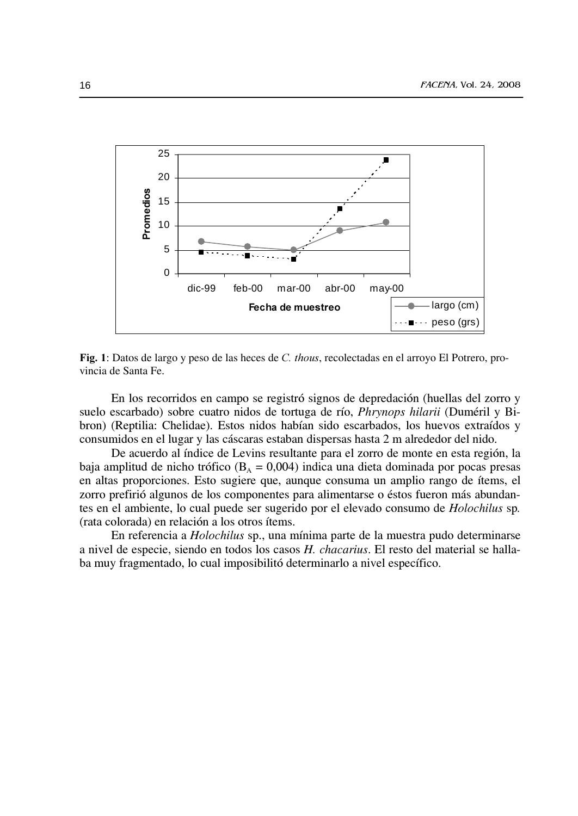

Fig. 1: Datos de largo y peso de las heces de C. thous, recolectadas en el arroyo El Potrero, provincia de Santa Fe.

En los recorridos en campo se registró signos de depredación (huellas del zorro y suelo escarbado) sobre cuatro nidos de tortuga de río, *Phrynops hilarii* (Duméril y Bibron) (Reptilia: Chelidae). Estos nidos habían sido escarbados, los huevos extraídos y consumidos en el lugar y las cáscaras estaban dispersas hasta 2 m alrededor del nido.

De acuerdo al índice de Levins resultante para el zorro de monte en esta región, la baja amplitud de nicho trófico ( $B_A = 0.004$ ) indica una dieta dominada por pocas presas en altas proporciones. Esto sugiere que, aunque consuma un amplio rango de ítems, el zorro prefirió algunos de los componentes para alimentarse o éstos fueron más abundantes en el ambiente, lo cual puede ser sugerido por el elevado consumo de Holochilus sp. (rata colorada) en relación a los otros ítems.

En referencia a Holochilus sp., una mínima parte de la muestra pudo determinarse a nivel de especie, siendo en todos los casos H. chacarius. El resto del material se hallaba muy fragmentado, lo cual imposibilitó determinarlo a nivel específico.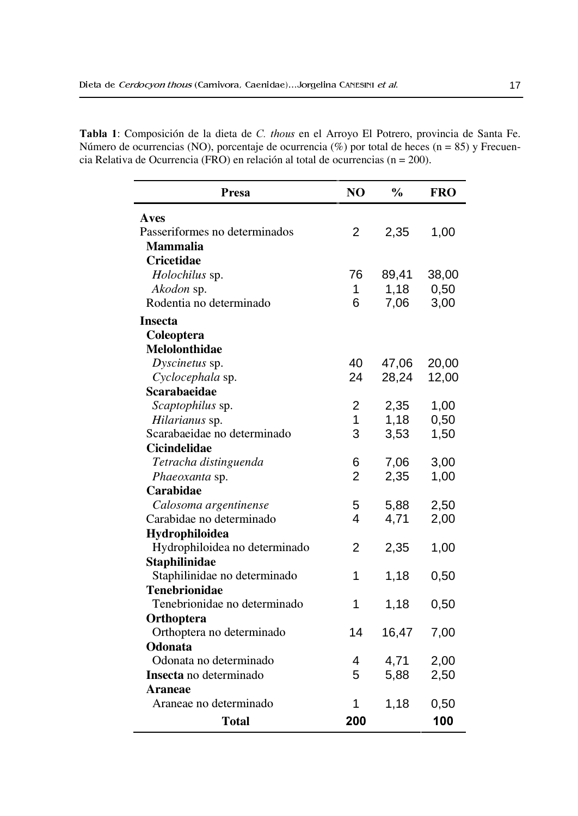| Presa                         | NO             | $\frac{0}{0}$ | <b>FRO</b> |
|-------------------------------|----------------|---------------|------------|
| Aves                          |                |               |            |
| Passeriformes no determinados | 2              | 2,35          | 1,00       |
| <b>Mammalia</b>               |                |               |            |
| <b>Cricetidae</b>             |                |               |            |
| Holochilus sp.                | 76             | 89,41         | 38,00      |
| Akodon sp.                    | 1              | 1,18          | 0,50       |
| Rodentia no determinado       | 6              | 7,06          | 3,00       |
| <b>Insecta</b>                |                |               |            |
| Coleoptera                    |                |               |            |
| <b>Melolonthidae</b>          |                |               |            |
| Dyscinetus sp.                | 40             | 47,06         | 20,00      |
| Cyclocephala sp.              | 24             | 28,24         | 12,00      |
| <b>Scarabaeidae</b>           |                |               |            |
| Scaptophilus sp.              | 2              | 2,35          | 1,00       |
| Hilarianus sp.                | 1              | 1,18          | 0,50       |
| Scarabaeidae no determinado   | 3              | 3,53          | 1,50       |
| Cicindelidae                  |                |               |            |
| Tetracha distinguenda         | 6              | 7,06          | 3,00       |
| Phaeoxanta sp.                | $\overline{2}$ | 2,35          | 1,00       |
| Carabidae                     |                |               |            |
| Calosoma argentinense         | 5              | 5,88          | 2,50       |
| Carabidae no determinado      | 4              | 4,71          | 2,00       |
| Hydrophiloidea                |                |               |            |
| Hydrophiloidea no determinado | $\overline{2}$ | 2,35          | 1,00       |
| Staphilinidae                 |                |               |            |
| Staphilinidae no determinado  | 1              | 1,18          | 0,50       |
| <b>Tenebrionidae</b>          |                |               |            |
| Tenebrionidae no determinado  | 1              | 1,18          | 0,50       |
| Orthoptera                    |                |               |            |
| Orthoptera no determinado     | 14             | 16,47         | 7,00       |
| Odonata                       |                |               |            |
| Odonata no determinado        | 4              | 4,71          | 2,00       |
| Insecta no determinado        | 5              | 5,88          | 2,50       |
| Araneae                       |                |               |            |
| Araneae no determinado        | 1              | 1,18          | 0,50       |
| Total                         | 200            |               | 100        |

Tabla 1: Composición de la dieta de C. thous en el Arroyo El Potrero, provincia de Santa Fe. Número de ocurrencias (NO), porcentaje de ocurrencia (%) por total de heces (n = 85) y Frecuencia Relativa de Ocurrencia (FRO) en relación al total de ocurrencias (n = 200).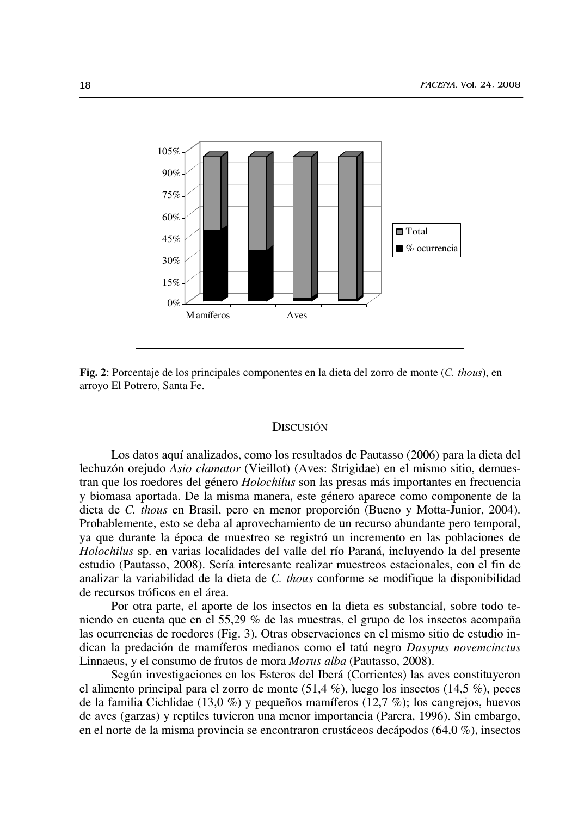

Fig. 2: Porcentaje de los principales componentes en la dieta del zorro de monte (C. thous), en arroyo El Potrero, Santa Fe.

### **DISCUSIÓN**

Los datos aquí analizados, como los resultados de Pautasso (2006) para la dieta del lechuzón orejudo Asio clamator (Vieillot) (Aves: Strigidae) en el mismo sitio, demuestran que los roedores del género *Holochilus* son las presas más importantes en frecuencia y biomasa aportada. De la misma manera, este género aparece como componente de la dieta de C. thous en Brasil, pero en menor proporción (Bueno y Motta-Junior, 2004). Probablemente, esto se deba al aprovechamiento de un recurso abundante pero temporal, ya que durante la época de muestreo se registró un incremento en las poblaciones de Holochilus sp. en varias localidades del valle del río Paraná, incluyendo la del presente estudio (Pautasso, 2008). Sería interesante realizar muestreos estacionales, con el fin de analizar la variabilidad de la dieta de C. thous conforme se modifique la disponibilidad de recursos tróficos en el área.

Por otra parte, el aporte de los insectos en la dieta es substancial, sobre todo teniendo en cuenta que en el 55,29 % de las muestras, el grupo de los insectos acompaña las ocurrencias de roedores (Fig. 3). Otras observaciones en el mismo sitio de estudio indican la predación de mamíferos medianos como el tatú negro Dasypus novemeinctus Linnaeus, y el consumo de frutos de mora Morus alba (Pautasso, 2008).

Según investigaciones en los Esteros del Iberá (Corrientes) las aves constituyeron el alimento principal para el zorro de monte  $(51,4\%)$ , luego los insectos  $(14,5\%)$ , peces de la familia Cichlidae (13,0 %) y pequeños mamíferos (12,7 %); los cangrejos, huevos de aves (garzas) y reptiles tuvieron una menor importancia (Parera, 1996). Sin embargo, en el norte de la misma provincia se encontraron crustáceos decápodos  $(64,0\%)$ , insectos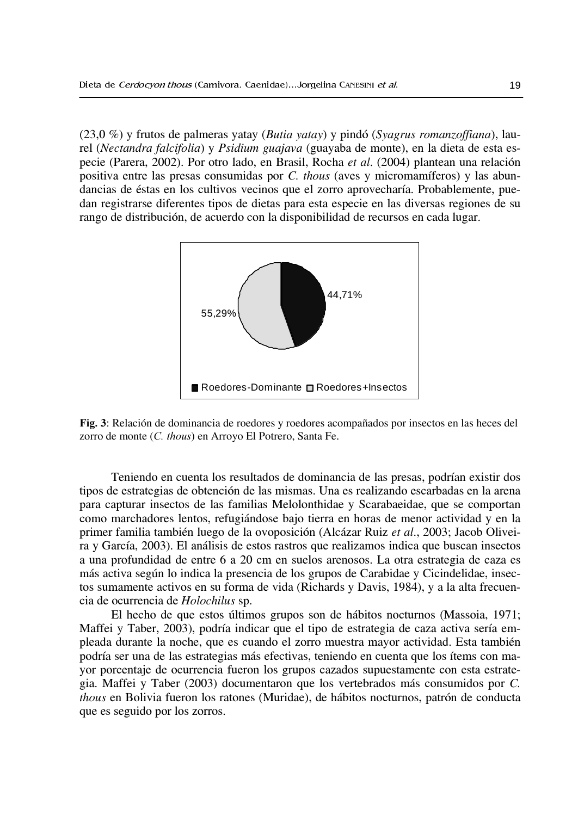$(23.0\%)$  y frutos de palmeras yatay (Butia yatay) y pindó (Syagrus romanzoffiana), laurel (Nectandra falcifolia) y Psidium guajava (guayaba de monte), en la dieta de esta especie (Parera, 2002). Por otro lado, en Brasil, Rocha et al. (2004) plantean una relación positiva entre las presas consumidas por C. thous (aves y micromamíferos) y las abundancias de éstas en los cultivos vecinos que el zorro aprovecharía. Probablemente, puedan registrarse diferentes tipos de dietas para esta especie en las diversas regiones de su rango de distribución, de acuerdo con la disponibilidad de recursos en cada lugar.



Fig. 3: Relación de dominancia de roedores y roedores acompañados por insectos en las heces del zorro de monte (C. thous) en Arroyo El Potrero, Santa Fe.

Teniendo en cuenta los resultados de dominancia de las presas, podrían existir dos tipos de estrategias de obtención de las mismas. Una es realizando escarbadas en la arena para capturar insectos de las familias Melolonthidae y Scarabaeidae, que se comportan como marchadores lentos, refugiándose bajo tierra en horas de menor actividad y en la primer familia también luego de la ovoposición (Alcázar Ruiz et al., 2003; Jacob Oliveira y García, 2003). El análisis de estos rastros que realizamos indica que buscan insectos a una profundidad de entre 6 a 20 cm en suelos arenosos. La otra estrategia de caza es más activa según lo indica la presencia de los grupos de Carabidae y Cicindelidae, insectos sumamente activos en su forma de vida (Richards y Davis, 1984), y a la alta frecuencia de ocurrencia de Holochilus sp.

El hecho de que estos últimos grupos son de hábitos nocturnos (Massoia, 1971; Maffei y Taber, 2003), podría indicar que el tipo de estrategia de caza activa sería empleada durante la noche, que es cuando el zorro muestra mayor actividad. Esta también podría ser una de las estrategias más efectivas, teniendo en cuenta que los ítems con mayor porcentaje de ocurrencia fueron los grupos cazados supuestamente con esta estrategia. Maffei y Taber (2003) documentaron que los vertebrados más consumidos por C. thous en Bolivia fueron los ratones (Muridae), de hábitos nocturnos, patrón de conducta que es seguido por los zorros.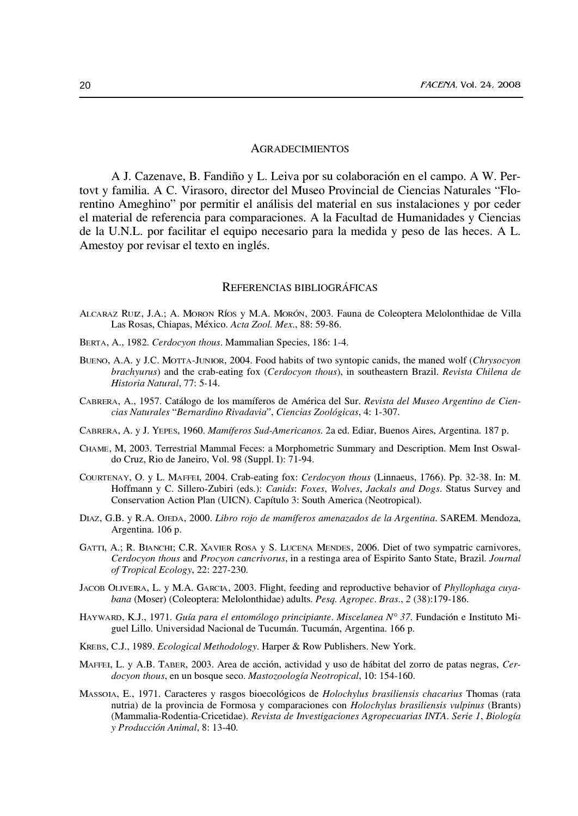#### **AGRADECIMIENTOS**

A J. Cazenave, B. Fandiño y L. Leiva por su colaboración en el campo. A W. Pertovt y familia. A C. Virasoro, director del Museo Provincial de Ciencias Naturales "Florentino Ameghino" por permitir el análisis del material en sus instalaciones y por ceder el material de referencia para comparaciones. A la Facultad de Humanidades y Ciencias de la U.N.L. por facilitar el equipo necesario para la medida y peso de las heces. A L. Amestoy por revisar el texto en inglés.

### REFERENCIAS BIBLIOGRÁFICAS

- ALCARAZ RUIZ, J.A.; A. MORON RÍOS y M.A. MORÓN, 2003. Fauna de Coleoptera Melolonthidae de Villa Las Rosas, Chiapas, México. Acta Zool. Mex., 88: 59-86.
- BERTA, A., 1982. Cerdocyon thous. Mammalian Species, 186: 1-4.
- BUENO, A.A. y J.C. MOTTA-JUNIOR, 2004. Food habits of two syntopic canids, the maned wolf (Chrysocyon brachyurus) and the crab-eating fox (Cerdocyon thous), in southeastern Brazil. Revista Chilena de Historia Natural, 77: 5-14.
- CABRERA, A., 1957. Catálogo de los mamíferos de América del Sur. Revista del Museo Argentino de Ciencias Naturales "Bernardino Rivadavia", Ciencias Zoológicas, 4: 1-307.
- CABRERA, A. y J. YEPES, 1960. Mamíferos Sud-Americanos. 2a ed. Ediar, Buenos Aires, Argentina. 187 p.
- CHAME, M, 2003. Terrestrial Mammal Feces: a Morphometric Summary and Description. Mem Inst Oswaldo Cruz, Rio de Janeiro, Vol. 98 (Suppl. I): 71-94.
- COURTENAY, O. y L. MAFFEI, 2004. Crab-eating fox: Cerdocyon thous (Linnaeus, 1766). Pp. 32-38. In: M. Hoffmann y C. Sillero-Zubiri (eds.): Canids: Foxes, Wolves, Jackals and Dogs. Status Survey and Conservation Action Plan (UICN). Capítulo 3: South America (Neotropical).
- DIAZ, G.B. y R.A. OJEDA, 2000. Libro rojo de mamíferos amenazados de la Argentina. SAREM. Mendoza, Argentina. 106 p.
- GATTI, A.; R. BIANCHI; C.R. XAVIER ROSA y S. LUCENA MENDES, 2006. Diet of two sympatric carnivores, Cerdocyon thous and Procyon cancrivorus, in a restinga area of Espirito Santo State, Brazil. Journal of Tropical Ecology, 22: 227-230.
- JACOB OLIVEIRA, L. y M.A. GARCIA, 2003. Flight, feeding and reproductive behavior of *Phyllophaga cuya*bana (Moser) (Coleoptera: Melolonthidae) adults. Pesq. Agropec. Bras., 2 (38):179-186.
- HAYWARD, K.J., 1971. Guía para el entomólogo principiante. Miscelanea N° 37. Fundación e Instituto Miguel Lillo. Universidad Nacional de Tucumán. Tucumán, Argentina. 166 p.
- KREBS, C.J., 1989. Ecological Methodology. Harper & Row Publishers. New York.
- MAFFEI, L. y A.B. TABER, 2003. Area de acción, actividad y uso de hábitat del zorro de patas negras, Cerdocyon thous, en un bosque seco. Mastozoología Neotropical, 10: 154-160.
- MASSOIA, E., 1971. Caracteres y rasgos bioecológicos de Holochylus brasiliensis chacarius Thomas (rata nutria) de la provincia de Formosa y comparaciones con Holochylus brasiliensis vulpinus (Brants) (Mammalia-Rodentia-Cricetidae). Revista de Investigaciones Agropecuarias INTA. Serie 1, Biología y Producción Animal, 8: 13-40.